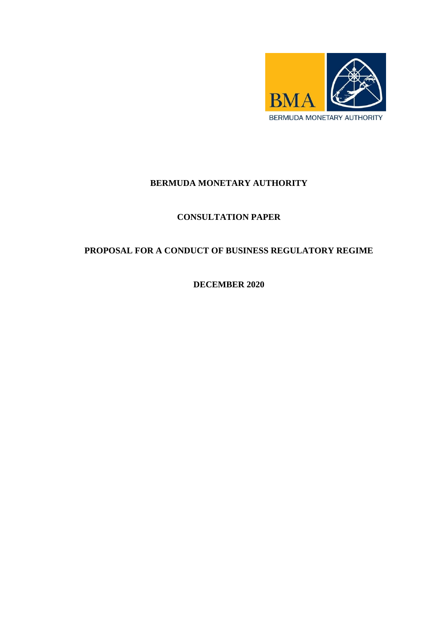

## **BERMUDA MONETARY AUTHORITY**

## **CONSULTATION PAPER**

# **PROPOSAL FOR A CONDUCT OF BUSINESS REGULATORY REGIME**

**DECEMBER 2020**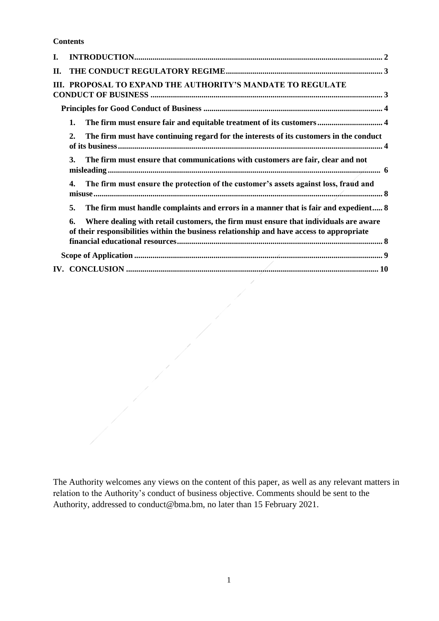**Contents**

| I. |                                                                                                                                                                                         |
|----|-----------------------------------------------------------------------------------------------------------------------------------------------------------------------------------------|
| П. |                                                                                                                                                                                         |
|    | III. PROPOSAL TO EXPAND THE AUTHORITY'S MANDATE TO REGULATE                                                                                                                             |
|    |                                                                                                                                                                                         |
|    | The firm must ensure fair and equitable treatment of its customers 4<br>1.                                                                                                              |
|    | The firm must have continuing regard for the interests of its customers in the conduct<br>$\overline{2}$ .                                                                              |
|    | The firm must ensure that communications with customers are fair, clear and not<br>3.                                                                                                   |
|    | The firm must ensure the protection of the customer's assets against loss, fraud and<br>4.                                                                                              |
|    | The firm must handle complaints and errors in a manner that is fair and expedient 8<br>5.                                                                                               |
|    | Where dealing with retail customers, the firm must ensure that individuals are aware<br>6.<br>of their responsibilities within the business relationship and have access to appropriate |
|    |                                                                                                                                                                                         |
|    |                                                                                                                                                                                         |
|    |                                                                                                                                                                                         |

The Authority welcomes any views on the content of this paper, as well as any relevant matters in relation to the Authority's conduct of business objective. Comments should be sent to the Authority, addressed to conduct@bma.bm, no later than 15 February 2021.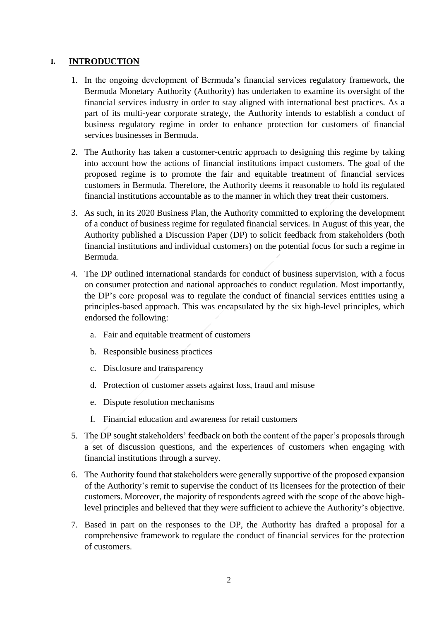#### <span id="page-2-0"></span>**I. INTRODUCTION**

- 1. In the ongoing development of Bermuda's financial services regulatory framework, the Bermuda Monetary Authority (Authority) has undertaken to examine its oversight of the financial services industry in order to stay aligned with international best practices. As a part of its multi-year corporate strategy, the Authority intends to establish a conduct of business regulatory regime in order to enhance protection for customers of financial services businesses in Bermuda.
- 2. The Authority has taken a customer-centric approach to designing this regime by taking into account how the actions of financial institutions impact customers. The goal of the proposed regime is to promote the fair and equitable treatment of financial services customers in Bermuda. Therefore, the Authority deems it reasonable to hold its regulated financial institutions accountable as to the manner in which they treat their customers.
- 3. As such, in its 2020 Business Plan, the Authority committed to exploring the development of a conduct of business regime for regulated financial services. In August of this year, the Authority published a Discussion Paper (DP) to solicit feedback from stakeholders (both financial institutions and individual customers) on the potential focus for such a regime in Bermuda.
- 4. The DP outlined international standards for conduct of business supervision, with a focus on consumer protection and national approaches to conduct regulation. Most importantly, the DP's core proposal was to regulate the conduct of financial services entities using a principles-based approach. This was encapsulated by the six high-level principles, which endorsed the following:
	- a. Fair and equitable treatment of customers
	- b. Responsible business practices
	- c. Disclosure and transparency
	- d. Protection of customer assets against loss, fraud and misuse
	- e. Dispute resolution mechanisms
	- f. Financial education and awareness for retail customers
- 5. The DP sought stakeholders' feedback on both the content of the paper's proposals through a set of discussion questions, and the experiences of customers when engaging with financial institutions through a survey.
- 6. The Authority found that stakeholders were generally supportive of the proposed expansion of the Authority's remit to supervise the conduct of its licensees for the protection of their customers. Moreover, the majority of respondents agreed with the scope of the above highlevel principles and believed that they were sufficient to achieve the Authority's objective.
- 7. Based in part on the responses to the DP, the Authority has drafted a proposal for a comprehensive framework to regulate the conduct of financial services for the protection of customers.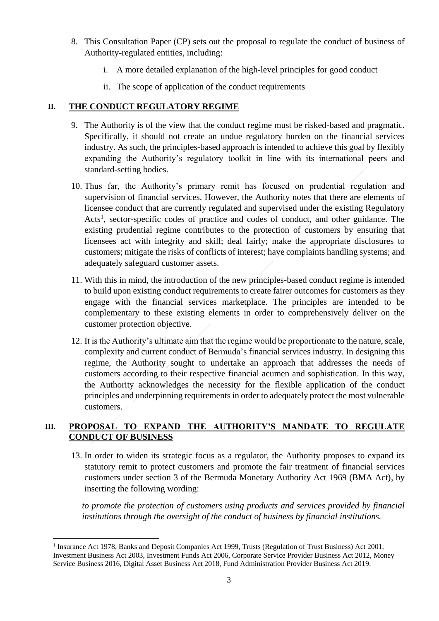- 8. This Consultation Paper (CP) sets out the proposal to regulate the conduct of business of Authority-regulated entities, including:
	- i. A more detailed explanation of the high-level principles for good conduct
	- ii. The scope of application of the conduct requirements

### <span id="page-3-0"></span>**II. THE CONDUCT REGULATORY REGIME**

- 9. The Authority is of the view that the conduct regime must be risked-based and pragmatic. Specifically, it should not create an undue regulatory burden on the financial services industry. As such, the principles-based approach is intended to achieve this goal by flexibly expanding the Authority's regulatory toolkit in line with its international peers and standard-setting bodies.
- 10. Thus far, the Authority's primary remit has focused on prudential regulation and supervision of financial services. However, the Authority notes that there are elements of licensee conduct that are currently regulated and supervised under the existing Regulatory Acts<sup>1</sup>, sector-specific codes of practice and codes of conduct, and other guidance. The existing prudential regime contributes to the protection of customers by ensuring that licensees act with integrity and skill; deal fairly; make the appropriate disclosures to customers; mitigate the risks of conflicts of interest; have complaints handling systems; and adequately safeguard customer assets.
- 11. With this in mind, the introduction of the new principles-based conduct regime is intended to build upon existing conduct requirements to create fairer outcomes for customers as they engage with the financial services marketplace. The principles are intended to be complementary to these existing elements in order to comprehensively deliver on the customer protection objective.
- 12. It is the Authority's ultimate aim that the regime would be proportionate to the nature, scale, complexity and current conduct of Bermuda's financial services industry. In designing this regime, the Authority sought to undertake an approach that addresses the needs of customers according to their respective financial acumen and sophistication. In this way, the Authority acknowledges the necessity for the flexible application of the conduct principles and underpinning requirements in order to adequately protect the most vulnerable customers.

### <span id="page-3-1"></span>**III. PROPOSAL TO EXPAND THE AUTHORITY'S MANDATE TO REGULATE CONDUCT OF BUSINESS**

13. In order to widen its strategic focus as a regulator, the Authority proposes to expand its statutory remit to protect customers and promote the fair treatment of financial services customers under section 3 of the Bermuda Monetary Authority Act 1969 (BMA Act), by inserting the following wording:

*to promote the protection of customers using products and services provided by financial institutions through the oversight of the conduct of business by financial institutions.* 

**.** 

<sup>&</sup>lt;sup>1</sup> Insurance Act 1978, Banks and Deposit Companies Act 1999, Trusts (Regulation of Trust Business) Act 2001, Investment Business Act 2003, Investment Funds Act 2006, Corporate Service Provider Business Act 2012, Money Service Business 2016, Digital Asset Business Act 2018, Fund Administration Provider Business Act 2019.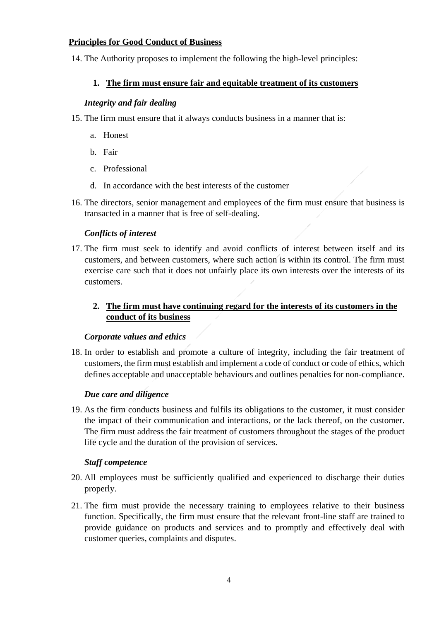#### <span id="page-4-0"></span>**Principles for Good Conduct of Business**

<span id="page-4-1"></span>14. The Authority proposes to implement the following the high-level principles:

## **1. The firm must ensure fair and equitable treatment of its customers**

### *Integrity and fair dealing*

- 15. The firm must ensure that it always conducts business in a manner that is:
	- a. Honest
	- b. Fair
	- c. Professional
	- d. In accordance with the best interests of the customer
- 16. The directors, senior management and employees of the firm must ensure that business is transacted in a manner that is free of self-dealing.

## *Conflicts of interest*

17. The firm must seek to identify and avoid conflicts of interest between itself and its customers, and between customers, where such action is within its control. The firm must exercise care such that it does not unfairly place its own interests over the interests of its customers.

## <span id="page-4-2"></span>**2. The firm must have continuing regard for the interests of its customers in the conduct of its business**

### *Corporate values and ethics*

18. In order to establish and promote a culture of integrity, including the fair treatment of customers, the firm must establish and implement a code of conduct or code of ethics, which defines acceptable and unacceptable behaviours and outlines penalties for non-compliance.

### *Due care and diligence*

19. As the firm conducts business and fulfils its obligations to the customer, it must consider the impact of their communication and interactions, or the lack thereof, on the customer. The firm must address the fair treatment of customers throughout the stages of the product life cycle and the duration of the provision of services.

### *Staff competence*

- 20. All employees must be sufficiently qualified and experienced to discharge their duties properly.
- 21. The firm must provide the necessary training to employees relative to their business function. Specifically, the firm must ensure that the relevant front-line staff are trained to provide guidance on products and services and to promptly and effectively deal with customer queries, complaints and disputes.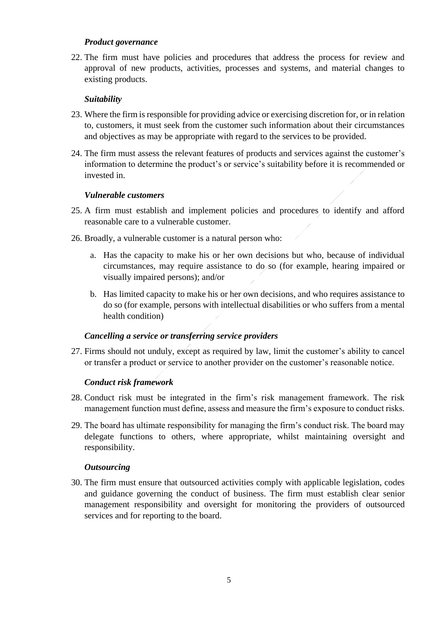#### *Product governance*

22. The firm must have policies and procedures that address the process for review and approval of new products, activities, processes and systems, and material changes to existing products.

#### *Suitability*

- 23. Where the firm is responsible for providing advice or exercising discretion for, or in relation to, customers, it must seek from the customer such information about their circumstances and objectives as may be appropriate with regard to the services to be provided.
- 24. The firm must assess the relevant features of products and services against the customer's information to determine the product's or service's suitability before it is recommended or invested in.

#### *Vulnerable customers*

- 25. A firm must establish and implement policies and procedures to identify and afford reasonable care to a vulnerable customer.
- 26. Broadly, a vulnerable customer is a natural person who:
	- a. Has the capacity to make his or her own decisions but who, because of individual circumstances, may require assistance to do so (for example, hearing impaired or visually impaired persons); and/or
	- b. Has limited capacity to make his or her own decisions, and who requires assistance to do so (for example, persons with intellectual disabilities or who suffers from a mental health condition)

### *Cancelling a service or transferring service providers*

27. Firms should not unduly, except as required by law, limit the customer's ability to cancel or transfer a product or service to another provider on the customer's reasonable notice.

### *Conduct risk framework*

- 28. Conduct risk must be integrated in the firm's risk management framework. The risk management function must define, assess and measure the firm's exposure to conduct risks.
- 29. The board has ultimate responsibility for managing the firm's conduct risk. The board may delegate functions to others, where appropriate, whilst maintaining oversight and responsibility.

#### *Outsourcing*

30. The firm must ensure that outsourced activities comply with applicable legislation, codes and guidance governing the conduct of business. The firm must establish clear senior management responsibility and oversight for monitoring the providers of outsourced services and for reporting to the board.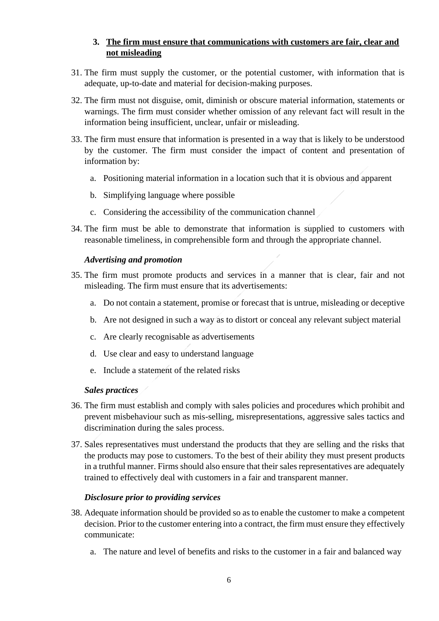### **3. The firm must ensure that communications with customers are fair, clear and not misleading**

- <span id="page-6-0"></span>31. The firm must supply the customer, or the potential customer, with information that is adequate, up-to-date and material for decision-making purposes.
- 32. The firm must not disguise, omit, diminish or obscure material information, statements or warnings. The firm must consider whether omission of any relevant fact will result in the information being insufficient, unclear, unfair or misleading.
- 33. The firm must ensure that information is presented in a way that is likely to be understood by the customer. The firm must consider the impact of content and presentation of information by:
	- a. Positioning material information in a location such that it is obvious and apparent
	- b. Simplifying language where possible
	- c. Considering the accessibility of the communication channel
- 34. The firm must be able to demonstrate that information is supplied to customers with reasonable timeliness, in comprehensible form and through the appropriate channel.

## *Advertising and promotion*

- 35. The firm must promote products and services in a manner that is clear, fair and not misleading. The firm must ensure that its advertisements:
	- a. Do not contain a statement, promise or forecast that is untrue, misleading or deceptive
	- b. Are not designed in such a way as to distort or conceal any relevant subject material
	- c. Are clearly recognisable as advertisements
	- d. Use clear and easy to understand language
	- e. Include a statement of the related risks

### *Sales practices*

- 36. The firm must establish and comply with sales policies and procedures which prohibit and prevent misbehaviour such as mis-selling, misrepresentations, aggressive sales tactics and discrimination during the sales process.
- 37. Sales representatives must understand the products that they are selling and the risks that the products may pose to customers. To the best of their ability they must present products in a truthful manner. Firms should also ensure that their sales representatives are adequately trained to effectively deal with customers in a fair and transparent manner.

### *Disclosure prior to providing services*

- 38. Adequate information should be provided so as to enable the customer to make a competent decision. Prior to the customer entering into a contract, the firm must ensure they effectively communicate:
	- a. The nature and level of benefits and risks to the customer in a fair and balanced way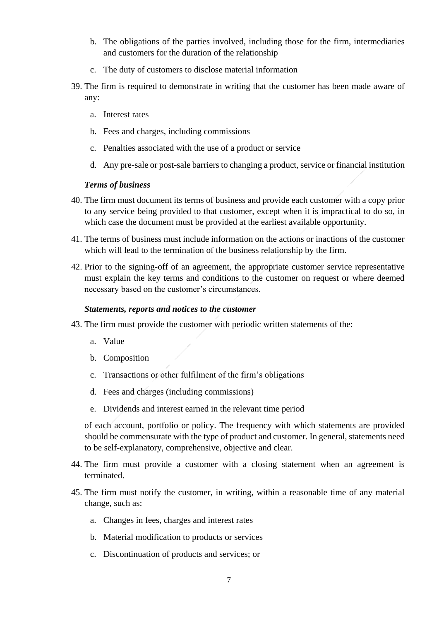- b. The obligations of the parties involved, including those for the firm, intermediaries and customers for the duration of the relationship
- c. The duty of customers to disclose material information
- 39. The firm is required to demonstrate in writing that the customer has been made aware of any:
	- a. Interest rates
	- b. Fees and charges, including commissions
	- c. Penalties associated with the use of a product or service
	- d. Any pre-sale or post-sale barriers to changing a product, service or financial institution

#### *Terms of business*

- 40. The firm must document its terms of business and provide each customer with a copy prior to any service being provided to that customer, except when it is impractical to do so, in which case the document must be provided at the earliest available opportunity.
- 41. The terms of business must include information on the actions or inactions of the customer which will lead to the termination of the business relationship by the firm.
- 42. Prior to the signing-off of an agreement, the appropriate customer service representative must explain the key terms and conditions to the customer on request or where deemed necessary based on the customer's circumstances.

#### *Statements, reports and notices to the customer*

- 43. The firm must provide the customer with periodic written statements of the:
	- a. Value
	- b. Composition
	- c. Transactions or other fulfilment of the firm's obligations
	- d. Fees and charges (including commissions)
	- e. Dividends and interest earned in the relevant time period

of each account, portfolio or policy. The frequency with which statements are provided should be commensurate with the type of product and customer. In general, statements need to be self-explanatory, comprehensive, objective and clear.

- 44. The firm must provide a customer with a closing statement when an agreement is terminated.
- 45. The firm must notify the customer, in writing, within a reasonable time of any material change, such as:
	- a. Changes in fees, charges and interest rates
	- b. Material modification to products or services
	- c. Discontinuation of products and services; or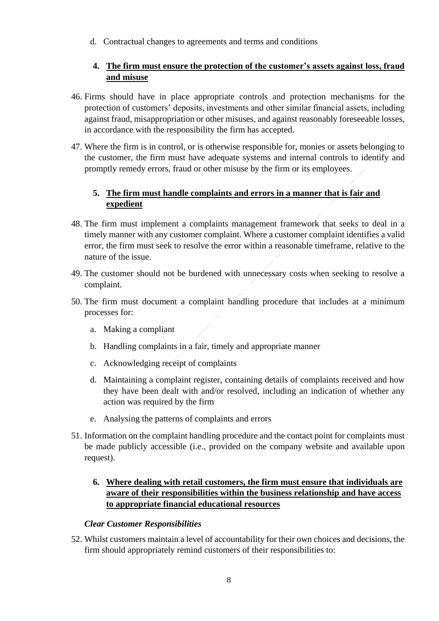<span id="page-8-0"></span>d. Contractual changes to agreements and terms and conditions

## **4. The firm must ensure the protection of the customer's assets against loss, fraud and misuse**

- 46. Firms should have in place appropriate controls and protection mechanisms for the protection of customers' deposits, investments and other similar financial assets, including against fraud, misappropriation or other misuses, and against reasonably foreseeable losses, in accordance with the responsibility the firm has accepted.
- 47. Where the firm is in control, or is otherwise responsible for, monies or assets belonging to the customer, the firm must have adequate systems and internal controls to identify and promptly remedy errors, fraud or other misuse by the firm or its employees.

## <span id="page-8-1"></span>**5. The firm must handle complaints and errors in a manner that is fair and expedient**

- 48. The firm must implement a complaints management framework that seeks to deal in a timely manner with any customer complaint. Where a customer complaint identifies a valid error, the firm must seek to resolve the error within a reasonable timeframe, relative to the nature of the issue.
- 49. The customer should not be burdened with unnecessary costs when seeking to resolve a complaint.
- 50. The firm must document a complaint handling procedure that includes at a minimum processes for:
	- a. Making a compliant
	- b. Handling complaints in a fair, timely and appropriate manner
	- c. Acknowledging receipt of complaints
	- d. Maintaining a complaint register, containing details of complaints received and how they have been dealt with and/or resolved, including an indication of whether any action was required by the firm
	- e. Analysing the patterns of complaints and errors
- 51. Information on the complaint handling procedure and the contact point for complaints must be made publicly accessible (i.e., provided on the company website and available upon request).

## <span id="page-8-2"></span>**6. Where dealing with retail customers, the firm must ensure that individuals are aware of their responsibilities within the business relationship and have access to appropriate financial educational resources**

### *Clear Customer Responsibilities*

52. Whilst customers maintain a level of accountability for their own choices and decisions, the firm should appropriately remind customers of their responsibilities to: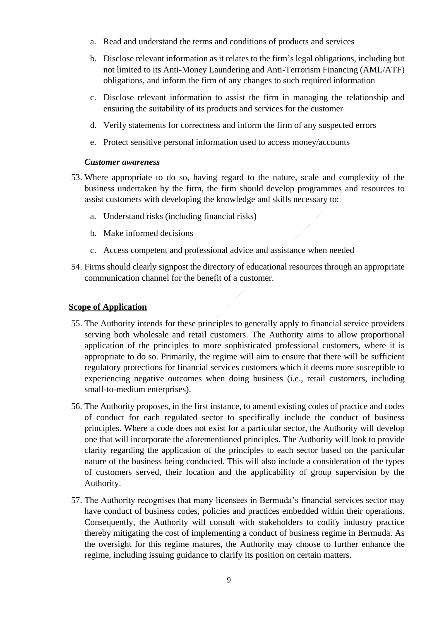- a. Read and understand the terms and conditions of products and services
- b. Disclose relevant information as it relates to the firm's legal obligations, including but not limited to its Anti-Money Laundering and Anti-Terrorism Financing (AML/ATF) obligations, and inform the firm of any changes to such required information
- c. Disclose relevant information to assist the firm in managing the relationship and ensuring the suitability of its products and services for the customer
- d. Verify statements for correctness and inform the firm of any suspected errors
- e. Protect sensitive personal information used to access money/accounts

#### *Customer awareness*

- 53. Where appropriate to do so, having regard to the nature, scale and complexity of the business undertaken by the firm, the firm should develop programmes and resources to assist customers with developing the knowledge and skills necessary to:
	- a. Understand risks (including financial risks)
	- b. Make informed decisions
	- c. Access competent and professional advice and assistance when needed
- 54. Firms should clearly signpost the directory of educational resources through an appropriate communication channel for the benefit of a customer.

#### <span id="page-9-0"></span>**Scope of Application**

- 55. The Authority intends for these principles to generally apply to financial service providers serving both wholesale and retail customers. The Authority aims to allow proportional application of the principles to more sophisticated professional customers, where it is appropriate to do so. Primarily, the regime will aim to ensure that there will be sufficient regulatory protections for financial services customers which it deems more susceptible to experiencing negative outcomes when doing business (i.e., retail customers, including small-to-medium enterprises).
- 56. The Authority proposes, in the first instance, to amend existing codes of practice and codes of conduct for each regulated sector to specifically include the conduct of business principles. Where a code does not exist for a particular sector, the Authority will develop one that will incorporate the aforementioned principles. The Authority will look to provide clarity regarding the application of the principles to each sector based on the particular nature of the business being conducted. This will also include a consideration of the types of customers served, their location and the applicability of group supervision by the Authority.
- 57. The Authority recognises that many licensees in Bermuda's financial services sector may have conduct of business codes, policies and practices embedded within their operations. Consequently, the Authority will consult with stakeholders to codify industry practice thereby mitigating the cost of implementing a conduct of business regime in Bermuda. As the oversight for this regime matures, the Authority may choose to further enhance the regime, including issuing guidance to clarify its position on certain matters.